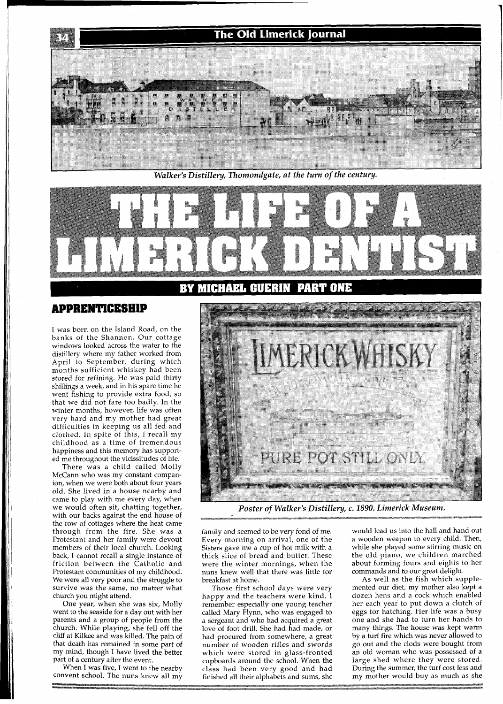

*Walker's Distillery, Thomondgate, at the turn of the century.* 

**BY MICHAEL GUERIN** 



I was born on the Island Road, on the banks of the Shannon. Our cottage windows looked across the water to the distillery where my father worked from April to September, during which months sufficient whiskey had been stored for refining. He was paid thirty shillings a week, and in his spare time he went fishing to provide extra food, so that we did not fare too badly. In the winter months, however, life was often very hard and my mother had great difficulties in keeping us all fed and clothed. In spite of this, I recall my childhood as a time of tremendous happiness and this memory has supported me throughout the vicissitudes of life.

There was a child called Molly McCann who was my constant companion, when we were both about four years old. She lived in a house nearby and came to play with me every day, when we would often sit, chatting together, with our backs against the end house of the row of cottages where the heat came through from the fire. She was a Protestant and her family were devout members of their local church. Looking back, I cannot recall a single instance of friction between the Catholic and Protestant communities of my childhood. We were all very poor and the struggle to survive was the same, no matter what church you might attend.

One year, when she was six, Molly went to the seaside for a day out with her parents and a group of people from the church. While playing, she fell off the cliff at Kilkee and was killed. The pain of that death has remained in some part of my mind, though I have lived the better part of a century after the event.

When I was five, I went to the nearby convent school. The nuns knew all my



**PART ONE** 

*Poster of Walker's Distillery, c. 1890. Limerick Museum.* 

family and seemed to be very fond of me. Every morning on arrival, one of the Sisters gave me a cup of hot milk with a thick slice of bread and butter. These were the winter mornings, when the nuns knew well that there was little for breakfast at home.

Those first school days were very happy and the teachers were kind. I remember especially one young teacher called Mary Flynn, who was engaged to a sergeant and who had acquired a great love of foot drill. She had had made, or had procured from somewhere, a great number of wooden rifles and swords which were stored in glass-fronted cupboards around the school. When the class had been very good and had finished all their alphabets and sums, she

would lead us into the hall and hand out a wooden weapon to every child. Then, while she played some stirring music on the old piano, we children marched about forming fours and eights to her commands and to our great delight.

As well as the fish which supplemented our diet, my mother also kept a dozen hens and a cock which enabled her each year to put down a clutch of eggs for hatching. Her life was a busy one and she had to turn her hands to many things. The house was kept warm by a turf fire which was never allowed to go out and the clods were bought from an old woman who was possessed of a large shed where they were stored. During the summer, the turf cost less and my mother would buy as much as she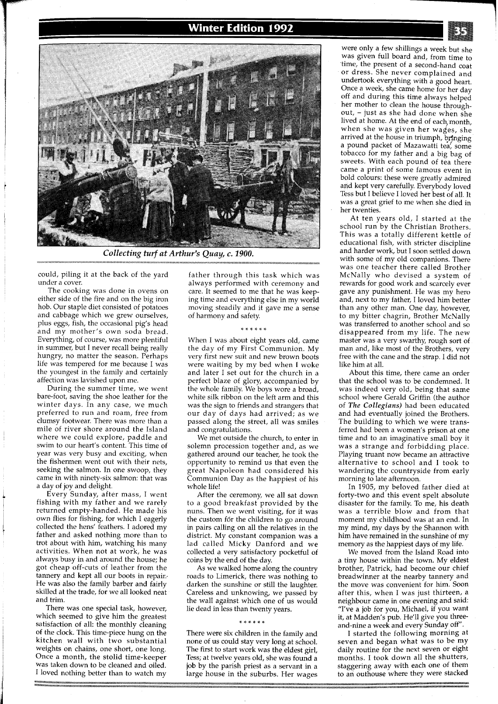# **Winter Edition 1992**



Collecting turf at Arthur's Quay, c. 1900.

could, piling it at the back of the yard under a cover.

The cooking was done in ovens on either side of the fire and on the big iron hob. Our staple diet consisted of potatoes and cabbage which we grew ourselves, plus eggs, fish, the occasional pig's head and my mother's own soda bread. Everything, of course, was more plentiful in summer, but I never recall being really hungry, no matter the season. Perhaps life was tempered for me because I was the youngest in the family and certainly affection was lavished upon me.

During the summer time, we went bare-foot, saving the shoe leather for the winter days. In any case, we much preferred to run and roam, free from clumsy footwear. There was more than a mile of river shore around the Island where we could explore, paddle and swim to our heart's content. This time of year was very busy and exciting, when the fishermen went out with their nets, seeking the salmon. In one swoop, they came in with ninety-six salmon: that was a day of joy and delight.

Every Sunday, after mass, I went fishing with my father and we rarely returned empty-handed. He made his own flies for fishing, for which I eagerly collected the hens' feathers. I adored my father and asked nothing more than to trot about with him, watching his many activities. When not at work, he was always busy in and around the house; he got cheap off-cuts of leather from the tannery and kept all our boots in repair.. He was also the family barber and fairly skilled at the trade, for we all looked neat and trim.

There was one special task, however, which seemed to give him the greatest satisfaction of all: the monthly cleaning of the clock. This time-piece hung on the kitchen wall with two substantial weights on chains, one short, one long. Once a month, the stolid time-keeper was taken down to be cleaned and oiled. I loved nothing better than to watch my

father through this task which was always performed with ceremony and care. It seemed to me that he was keeping time and everything else in my world moving steadily and it gave me a sense of harmony and safety.

When I was about eight years old, came the day of my First Communion. My very first new suit and new brown boots were waiting by my bed when I woke and later I set out for the church in a perfect blaze of glory, accompanied by the whole family. We boys wore a broad, white silk ribbon on the left arm and this was the sign to friends and strangers that our day of days had arrived; as we passed along the street, all was smiles and congratulations.

We met outside the church, to enter in solemn procession together and, as we gathered around our teacher, he took the opportunity to remind us that even the great Napoleon had considered his Communion Day as the happiest of his whole life!

After the ceremony, we all sat down to a good breakfast provided by the nuns. Then we went visiting, for it was the custom for the children to go around in pairs calling on all the relatives in the district. My constant companion was a lad called Micky Danford and we collected a very satisfactory pocketful of coins by the end of the day.

As we walked home along the country roads to Limerick, there was nothing to darken the sunshine or still the laughter. Careless and unknowing, we passed by the wall against which one of us would lie dead in less than twenty years.

### \* \* \* \* \* \*

There were six children in the family and none of us could stay very long at school. The first to start work was the eldest girl, Tess; at twelve years old, she was found a job by the parish priest as a servant in a large house in the suburbs. Her wages

were only a few shillings a week but she was given full board and, from time to time, the present of a second-hand coat or dress. She never complained and undertook everything with a good heart. Once a week, she came home for her day off and during this time always helped her mother to clean the house throughout, - just as she had done when she lived at home. At the end of each,month, when she was given her wages, she arrived at the house in triumph, bringing a pound packet of Mazawatti tea, some tobacco for my father and a big bag of sweets. With each pound of tea there came a print of some famous event in bold colours: these were greatly admired and kept very carefully. Everybody loved Tess but I believe I loved her best of all. It was a great grief to me when she died in her twenties.

At ten years old, I started at the school run by the Christian Brothers. This was a totally different kettle of educational fish, with stricter discipline and harder work, but I soon settled down with some of my old companions. There was one teacher there called Brother McNally who devised a system of rewards for good work and scarcely ever gave any punishment. He was my hero and, next to my father, I loved him better than any other man. One day, however, to my bitter chagrin, Brother McNally was transferred to another school and so disappeared from my life. The new master was a very swarthy, rough sort of man and, like most of the Brothers, very free with the cane and the strap. I did not like him at all.

About this time, there came an order that the school was to be condemned. It was indeed very old, being that same school where Gerald Griffin (the author of The Collegians) had been educated and had eventually joined the Brothers. The building to which we were transferred had been a women's prison at one time and to an imaginative small boy it was a strange and forbidding place. Playing truant now became an attractive alternative to school and I took to wandering the countryside from early morning to late afternoon.

In 1905, my beloved father died at forty-two and this event spelt absolute disaster for the family. To me, his death was a terrible blow and from that moment my childhood was at an end. In my mind, my days by the Shannon with him have remained in the sunshine of my memory as the happiest days of my life.

We moved from the Island Road into a tiny house within the town. My eldest brother, Patrick, had become our chief breadwinner at the nearby tannery and the move was convenient for him. Soon after this, when I was just thirteen, a neighbour came in one evening and said: "I've a job for you, Michael, if you want it, at Madden's pub. He'll give you threeand-nine a week and every Sunday off".

I started the following morning at seven and began what was to be my daily routine for the next seven or eight months. I took down all the shutters, staggering away with each one of them to an outhouse where they were stacked